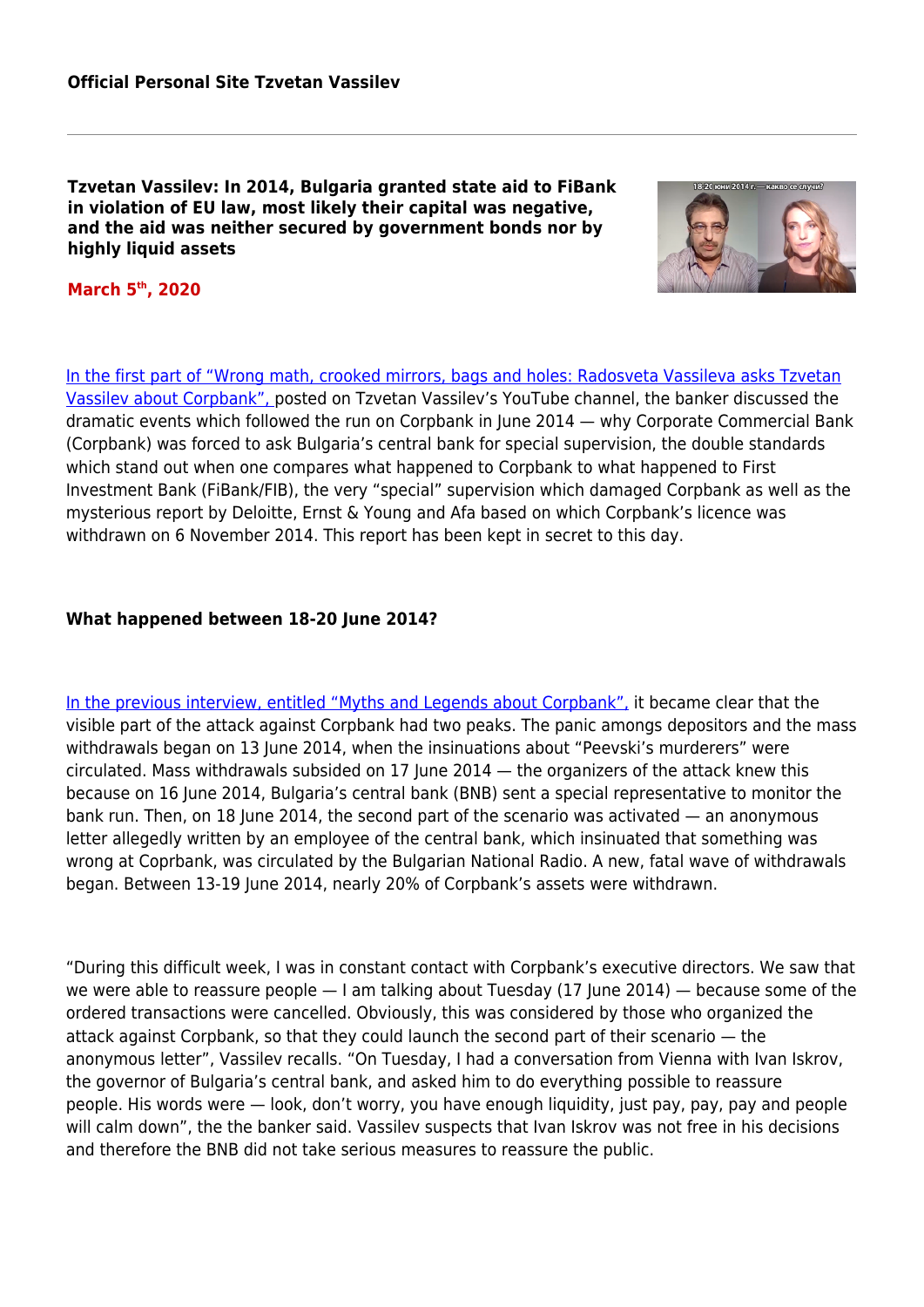**Tzvetan Vassilev: In 2014, Bulgaria granted state aid to FiBank in violation of EU law, most likely their capital was negative, and the aid was neither secured by government bonds nor by highly liquid assets**



## **March 5th, 2020**

[In the first part of "Wrong math, crooked mirrors, bags and holes: Radosveta Vassileva asks Tzvetan](https://www.youtube.com/watch?v=vjtX-obdp4o&feature=youtu.be) [Vassilev about Corpbank",](https://www.youtube.com/watch?v=vjtX-obdp4o&feature=youtu.be) posted on Tzvetan Vassilev's YouTube channel, the banker discussed the dramatic events which followed the run on Corpbank in June 2014 — why Corporate Commercial Bank (Corpbank) was forced to ask Bulgaria's central bank for special supervision, the double standards which stand out when one compares what happened to Corpbank to what happened to First Investment Bank (FiBank/FIB), the very "special" supervision which damaged Corpbank as well as the mysterious report by Deloitte, Ernst & Young and Afa based on which Corpbank's licence was withdrawn on 6 November 2014. This report has been kept in secret to this day.

#### **What happened between 18-20 June 2014?**

[In the previous interview, entitled "Myths and Legends about Corpbank",](https://www.youtube.com/watch?v=ZqeXXuRzn-s&feature=youtu.be) it became clear that the visible part of the attack against Corpbank had two peaks. The panic amongs depositors and the mass withdrawals began on 13 June 2014, when the insinuations about "Peevski's murderers" were circulated. Mass withdrawals subsided on 17 June 2014 — the organizers of the attack knew this because on 16 June 2014, Bulgaria's central bank (BNB) sent a special representative to monitor the bank run. Then, on 18 June 2014, the second part of the scenario was activated — an anonymous letter allegedly written by an employee of the central bank, which insinuated that something was wrong at Coprbank, was circulated by the Bulgarian National Radio. A new, fatal wave of withdrawals began. Between 13-19 June 2014, nearly 20% of Corpbank's assets were withdrawn.

"During this difficult week, I was in constant contact with Corpbank's executive directors. We saw that we were able to reassure people - I am talking about Tuesday (17 June 2014) - because some of the ordered transactions were cancelled. Obviously, this was considered by those who organized the attack against Corpbank, so that they could launch the second part of their scenario — the anonymous letter", Vassilev recalls. "On Tuesday, I had a conversation from Vienna with Ivan Iskrov, the governor of Bulgaria's central bank, and asked him to do everything possible to reassure people. His words were — look, don't worry, you have enough liquidity, just pay, pay, pay and people will calm down", the the banker said. Vassilev suspects that Ivan Iskrov was not free in his decisions and therefore the BNB did not take serious measures to reassure the public.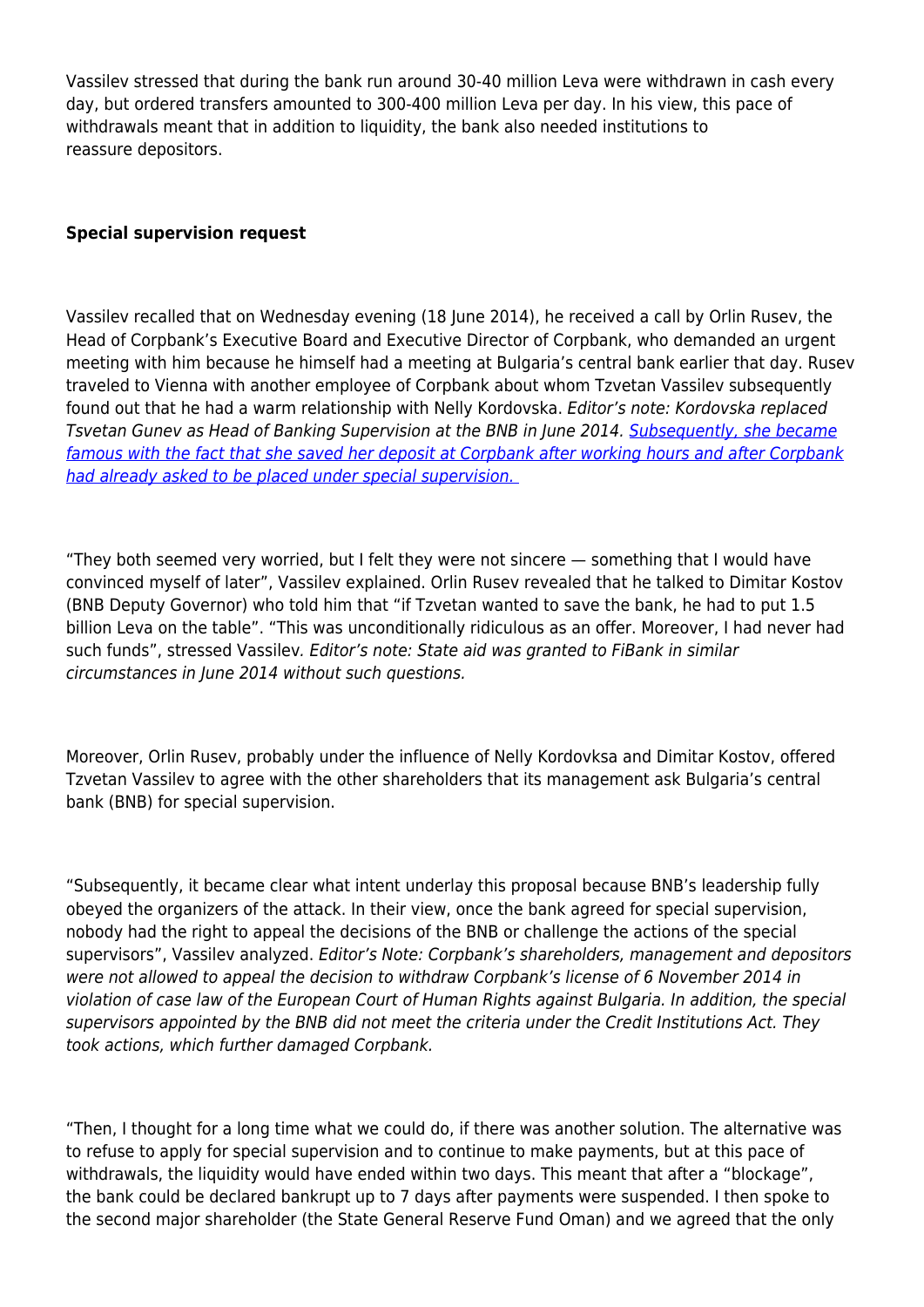Vassilev stressed that during the bank run around 30-40 million Leva were withdrawn in cash every day, but ordered transfers amounted to 300-400 million Leva per day. In his view, this pace of withdrawals meant that in addition to liquidity, the bank also needed institutions to reassure depositors.

# **Special supervision request**

Vassilev recalled that on Wednesday evening (18 June 2014), he received a call by Orlin Rusev, the Head of Corpbank's Executive Board and Executive Director of Corpbank, who demanded an urgent meeting with him because he himself had a meeting at Bulgaria's central bank earlier that day. Rusev traveled to Vienna with another employee of Corpbank about whom Tzvetan Vassilev subsequently found out that he had a warm relationship with Nelly Kordovska. Editor's note: Kordovska replaced Tsvetan Gunev as Head of Banking Supervision at the BNB in June 2014. [Subsequently, she became](https://www.transmedia.bg/2018/10/18/делото-за-конфликта-на-интереси-при-не/) [famous with the fact that she saved her deposit at Corpbank after working hours and after Corpbank](https://www.transmedia.bg/2018/10/18/делото-за-конфликта-на-интереси-при-не/) [had already asked to be placed under special supervision.](https://www.transmedia.bg/2018/10/18/делото-за-конфликта-на-интереси-при-не/) 

"They both seemed very worried, but I felt they were not sincere — something that I would have convinced myself of later", Vassilev explained. Orlin Rusev revealed that he talked to Dimitar Kostov (BNB Deputy Governor) who told him that "if Tzvetan wanted to save the bank, he had to put 1.5 billion Leva on the table". "This was unconditionally ridiculous as an offer. Moreover, I had never had such funds", stressed Vassilev. Editor's note: State aid was granted to FiBank in similar circumstances in June 2014 without such questions.

Moreover, Orlin Rusev, probably under the influence of Nelly Kordovksa and Dimitar Kostov, offered Tzvetan Vassilev to agree with the other shareholders that its management ask Bulgaria's central bank (BNB) for special supervision.

"Subsequently, it became clear what intent underlay this proposal because BNB's leadership fully obeyed the organizers of the attack. In their view, once the bank agreed for special supervision, nobody had the right to appeal the decisions of the BNB or challenge the actions of the special supervisors", Vassilev analyzed. Editor's Note: Corpbank's shareholders, management and depositors were not allowed to appeal the decision to withdraw Corpbank's license of 6 November 2014 in violation of case law of the European Court of Human Rights against Bulgaria. In addition, the special supervisors appointed by the BNB did not meet the criteria under the Credit Institutions Act. They took actions, which further damaged Corpbank.

"Then, I thought for a long time what we could do, if there was another solution. The alternative was to refuse to apply for special supervision and to continue to make payments, but at this pace of withdrawals, the liquidity would have ended within two days. This meant that after a "blockage", the bank could be declared bankrupt up to 7 days after payments were suspended. I then spoke to the second major shareholder (the State General Reserve Fund Oman) and we agreed that the only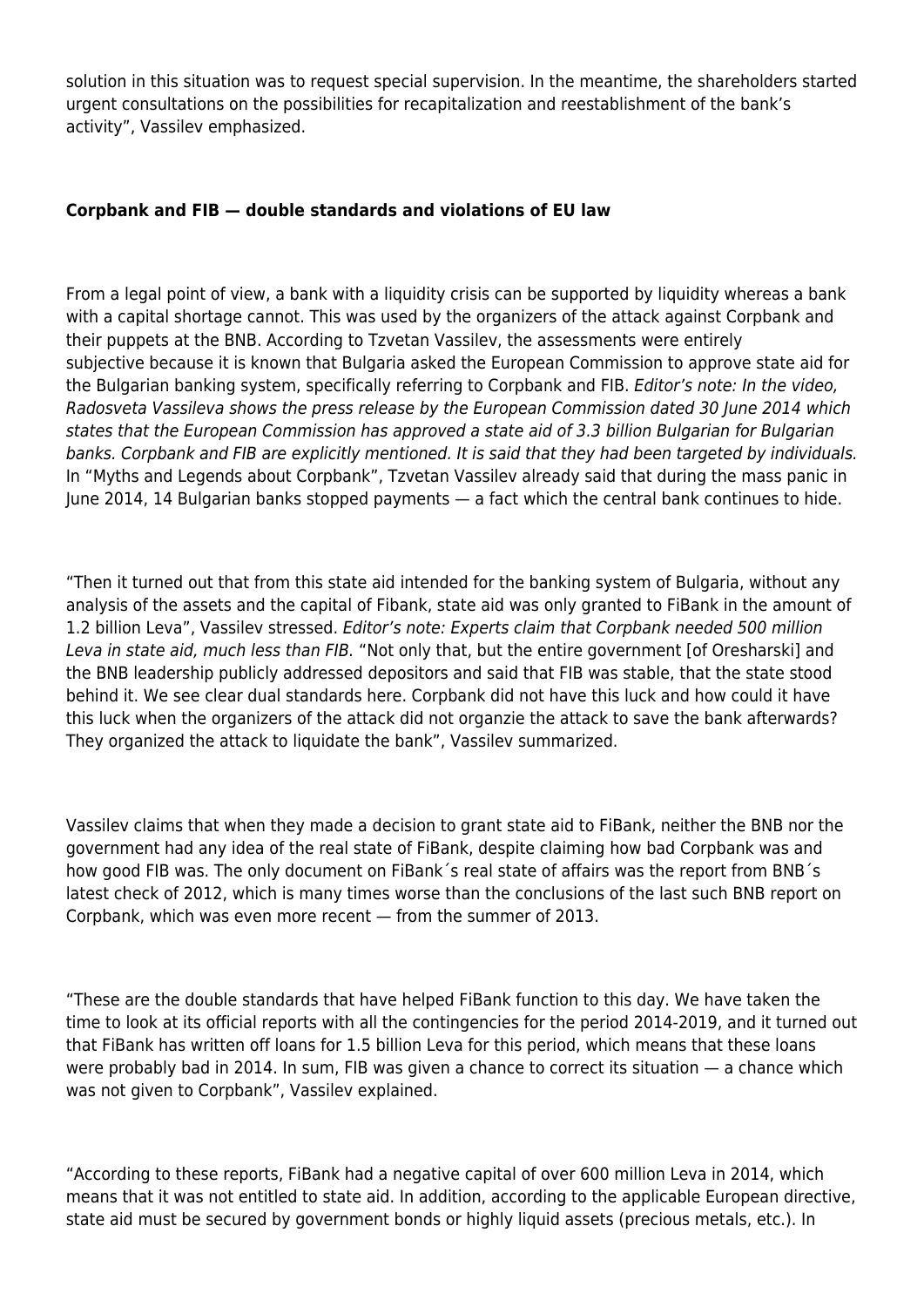solution in this situation was to request special supervision. In the meantime, the shareholders started urgent consultations on the possibilities for recapitalization and reestablishment of the bank's activity", Vassilev emphasized.

## **Corpbank and FIB — double standards and violations of EU law**

From a legal point of view, a bank with a liquidity crisis can be supported by liquidity whereas a bank with a capital shortage cannot. This was used by the organizers of the attack against Corpbank and their puppets at the BNB. According to Tzvetan Vassilev, the assessments were entirely subjective because it is known that Bulgaria asked the European Commission to approve state aid for the Bulgarian banking system, specifically referring to Corpbank and FIB. Editor's note: In the video, Radosveta Vassileva shows the press release by the European Commission dated 30 June 2014 which states that the European Commission has approved a state aid of 3.3 billion Bulgarian for Bulgarian banks. Corpbank and FIB are explicitly mentioned. It is said that they had been targeted by individuals. In "Myths and Legends about Corpbank", Tzvetan Vassilev already said that during the mass panic in June 2014, 14 Bulgarian banks stopped payments — a fact which the central bank continues to hide.

"Then it turned out that from this state aid intended for the banking system of Bulgaria, without any analysis of the assets and the capital of Fibank, state aid was only granted to FiBank in the amount of 1.2 billion Leva", Vassilev stressed. Editor's note: Experts claim that Corpbank needed 500 million Leva in state aid, much less than FIB. "Not only that, but the entire government [of Oresharski] and the BNB leadership publicly addressed depositors and said that FIB was stable, that the state stood behind it. We see clear dual standards here. Corpbank did not have this luck and how could it have this luck when the organizers of the attack did not organzie the attack to save the bank afterwards? They organized the attack to liquidate the bank", Vassilev summarized.

Vassilev claims that when they made a decision to grant state aid to FiBank, neither the BNB nor the government had any idea of the real state of FiBank, despite claiming how bad Corpbank was and how good FIB was. The only document on FiBank´s real state of affairs was the report from BNB´s latest check of 2012, which is many times worse than the conclusions of the last such BNB report on Corpbank, which was even more recent — from the summer of 2013.

"These are the double standards that have helped FiBank function to this day. We have taken the time to look at its official reports with all the contingencies for the period 2014-2019, and it turned out that FiBank has written off loans for 1.5 billion Leva for this period, which means that these loans were probably bad in 2014. In sum, FIB was given a chance to correct its situation — a chance which was not given to Corpbank", Vassilev explained.

"According to these reports, FiBank had a negative capital of over 600 million Leva in 2014, which means that it was not entitled to state aid. In addition, according to the applicable European directive, state aid must be secured by government bonds or highly liquid assets (precious metals, etc.). In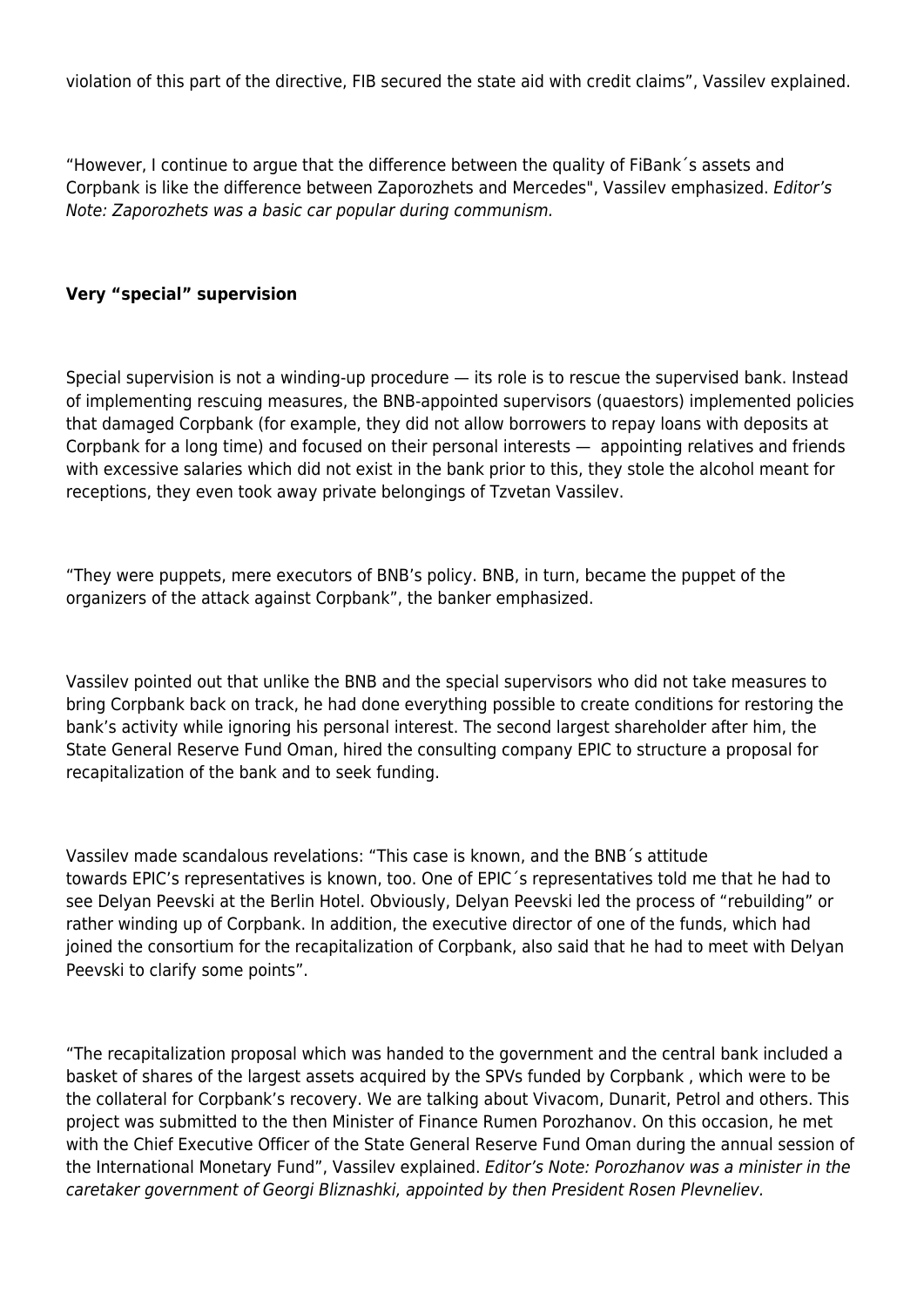violation of this part of the directive, FIB secured the state aid with credit claims", Vassilev explained.

"However, I continue to argue that the difference between the quality of FiBank´s assets and Corpbank is like the difference between Zaporozhets and Mercedes", Vassilev emphasized. Editor's Note: Zaporozhets was a basic car popular during communism.

### **Very "special" supervision**

Special supervision is not a winding-up procedure — its role is to rescue the supervised bank. Instead of implementing rescuing measures, the BNB-appointed supervisors (quaestors) implemented policies that damaged Corpbank (for example, they did not allow borrowers to repay loans with deposits at Corpbank for a long time) and focused on their personal interests — appointing relatives and friends with excessive salaries which did not exist in the bank prior to this, they stole the alcohol meant for receptions, they even took away private belongings of Tzvetan Vassilev.

"They were puppets, mere executors of BNB's policy. BNB, in turn, became the puppet of the organizers of the attack against Corpbank", the banker emphasized.

Vassilev pointed out that unlike the BNB and the special supervisors who did not take measures to bring Corpbank back on track, he had done everything possible to create conditions for restoring the bank's activity while ignoring his personal interest. The second largest shareholder after him, the State General Reserve Fund Oman, hired the consulting company EPIC to structure a proposal for recapitalization of the bank and to seek funding.

Vassilev made scandalous revelations: "This case is known, and the BNB´s attitude towards EPIC's representatives is known, too. One of EPIC´s representatives told me that he had to see Delyan Peevski at the Berlin Hotel. Obviously, Delyan Peevski led the process of "rebuilding" or rather winding up of Corpbank. In addition, the executive director of one of the funds, which had joined the consortium for the recapitalization of Corpbank, also said that he had to meet with Delyan Peevski to clarify some points".

"The recapitalization proposal which was handed to the government and the central bank included a basket of shares of the largest assets acquired by the SPVs funded by Corpbank , which were to be the collateral for Corpbank's recovery. We are talking about Vivacom, Dunarit, Petrol and others. This project was submitted to the then Minister of Finance Rumen Porozhanov. On this occasion, he met with the Chief Executive Officer of the State General Reserve Fund Oman during the annual session of the International Monetary Fund", Vassilev explained. Editor's Note: Porozhanov was a minister in the caretaker government of Georgi Bliznashki, appointed by then President Rosen Plevneliev.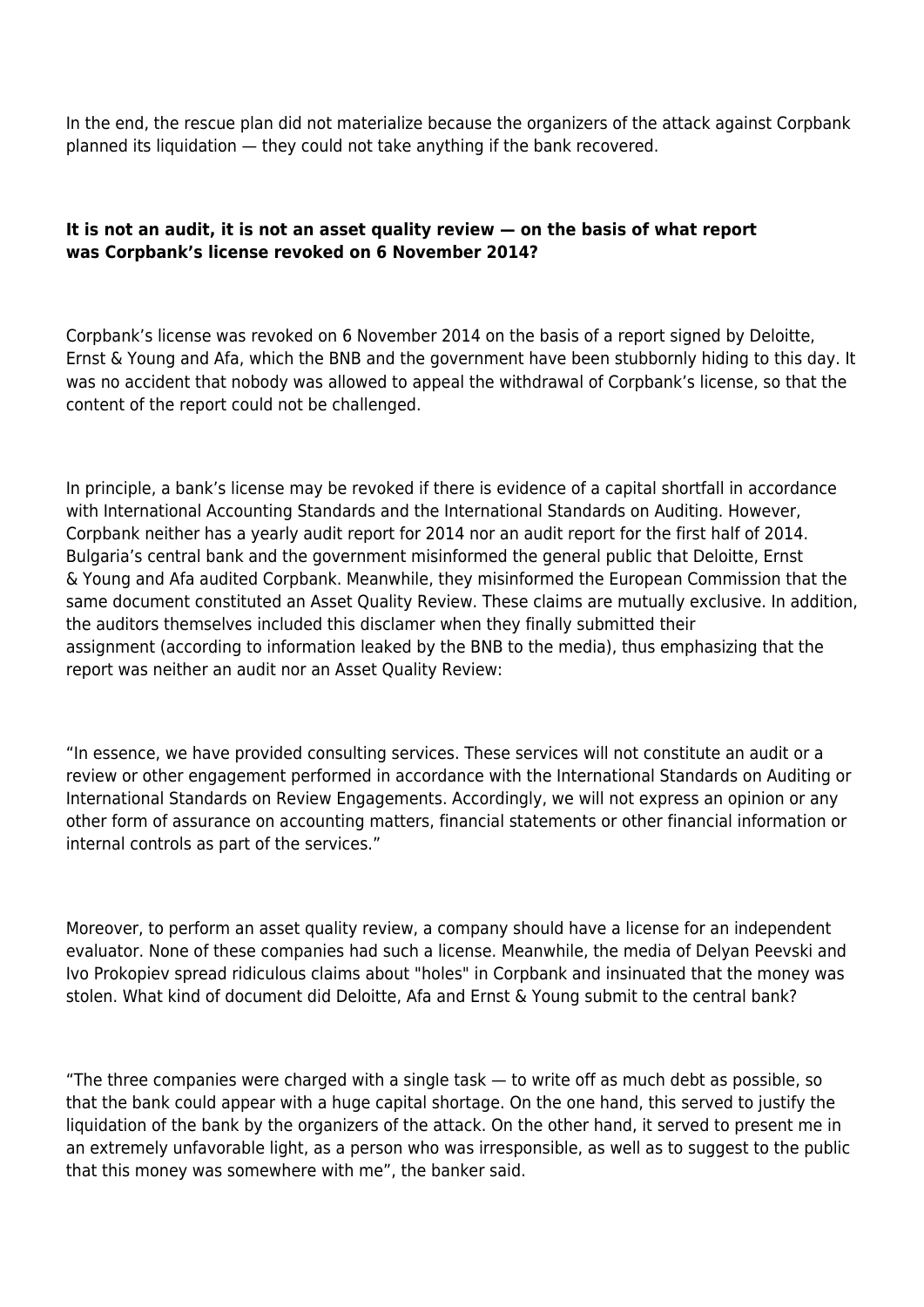In the end, the rescue plan did not materialize because the organizers of the attack against Corpbank planned its liquidation — they could not take anything if the bank recovered.

# **It is not an audit, it is not an asset quality review — on the basis of what report was Corpbank's license revoked on 6 November 2014?**

Corpbank's license was revoked on 6 November 2014 on the basis of a report signed by Deloitte, Ernst & Young and Afa, which the BNB and the government have been stubbornly hiding to this day. It was no accident that nobody was allowed to appeal the withdrawal of Corpbank's license, so that the content of the report could not be challenged.

In principle, a bank's license may be revoked if there is evidence of a capital shortfall in accordance with International Accounting Standards and the International Standards on Auditing. However, Corpbank neither has a yearly audit report for 2014 nor an audit report for the first half of 2014. Bulgaria's central bank and the government misinformed the general public that Deloitte, Ernst & Young and Afa audited Corpbank. Meanwhile, they misinformed the European Commission that the same document constituted an Asset Quality Review. These claims are mutually exclusive. In addition, the auditors themselves included this disclamer when they finally submitted their assignment (according to information leaked by the BNB to the media), thus emphasizing that the report was neither an audit nor an Asset Quality Review:

"In essence, we have provided consulting services. These services will not constitute an audit or a review or other engagement performed in accordance with the International Standards on Auditing or International Standards on Review Engagements. Accordingly, we will not express an opinion or any other form of assurance on accounting matters, financial statements or other financial information or internal controls as part of the services."

Moreover, to perform an asset quality review, a company should have a license for an independent evaluator. None of these companies had such a license. Meanwhile, the media of Delyan Peevski and Ivo Prokopiev spread ridiculous claims about "holes" in Corpbank and insinuated that the money was stolen. What kind of document did Deloitte, Afa and Ernst & Young submit to the central bank?

"The three companies were charged with a single task — to write off as much debt as possible, so that the bank could appear with a huge capital shortage. On the one hand, this served to justify the liquidation of the bank by the organizers of the attack. On the other hand, it served to present me in an extremely unfavorable light, as a person who was irresponsible, as well as to suggest to the public that this money was somewhere with me", the banker said.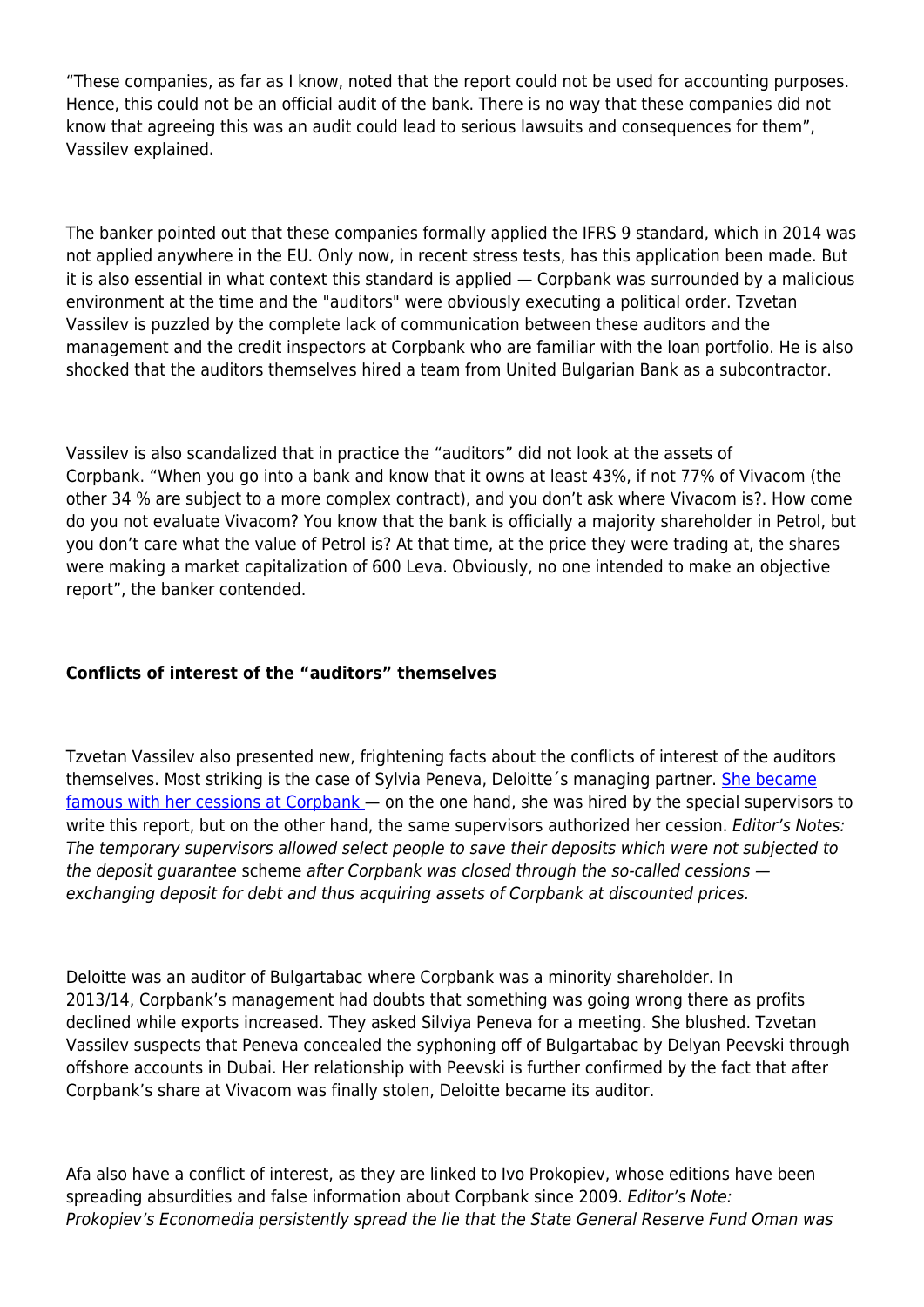"These companies, as far as I know, noted that the report could not be used for accounting purposes. Hence, this could not be an official audit of the bank. There is no way that these companies did not know that agreeing this was an audit could lead to serious lawsuits and consequences for them", Vassilev explained.

The banker pointed out that these companies formally applied the IFRS 9 standard, which in 2014 was not applied anywhere in the EU. Only now, in recent stress tests, has this application been made. But it is also essential in what context this standard is applied — Corpbank was surrounded by a malicious environment at the time and the "auditors" were obviously executing a political order. Tzvetan Vassilev is puzzled by the complete lack of communication between these auditors and the management and the credit inspectors at Corpbank who are familiar with the loan portfolio. He is also shocked that the auditors themselves hired a team from United Bulgarian Bank as a subcontractor.

Vassilev is also scandalized that in practice the "auditors" did not look at the assets of Corpbank. "When you go into a bank and know that it owns at least 43%, if not 77% of Vivacom (the other 34 % are subject to a more complex contract), and you don't ask where Vivacom is?. How come do you not evaluate Vivacom? You know that the bank is officially a majority shareholder in Petrol, but you don't care what the value of Petrol is? At that time, at the price they were trading at, the shares were making a market capitalization of 600 Leva. Obviously, no one intended to make an objective report", the banker contended.

## **Conflicts of interest of the "auditors" themselves**

Tzvetan Vassilev also presented new, frightening facts about the conflicts of interest of the auditors themselves. Most striking is the case of Sylvia Peneva, Deloitte's managing partner. [She became](https://www.paragraph22.bg/oditor-silviia-peneva-se-spasila-sus-srednoshtna-cesiia-za-25-mln-v-ktb/image/82871) [famous with her cessions at Corpbank](https://www.paragraph22.bg/oditor-silviia-peneva-se-spasila-sus-srednoshtna-cesiia-za-25-mln-v-ktb/image/82871) — on the one hand, she was hired by the special supervisors to write this report, but on the other hand, the same supervisors authorized her cession. Editor's Notes: The temporary supervisors allowed select people to save their deposits which were not subjected to the deposit guarantee scheme after Corpbank was closed through the so-called cessions exchanging deposit for debt and thus acquiring assets of Corpbank at discounted prices.

Deloitte was an auditor of Bulgartabac where Corpbank was a minority shareholder. In 2013/14, Corpbank's management had doubts that something was going wrong there as profits declined while exports increased. They asked Silviya Peneva for a meeting. She blushed. Tzvetan Vassilev suspects that Peneva concealed the syphoning off of Bulgartabac by Delyan Peevski through offshore accounts in Dubai. Her relationship with Peevski is further confirmed by the fact that after Corpbank's share at Vivacom was finally stolen, Deloitte became its auditor.

Afa also have a conflict of interest, as they are linked to Ivo Prokopiev, whose editions have been spreading absurdities and false information about Corpbank since 2009. Editor's Note: Prokopiev's Economedia persistently spread the lie that the State General Reserve Fund Oman was